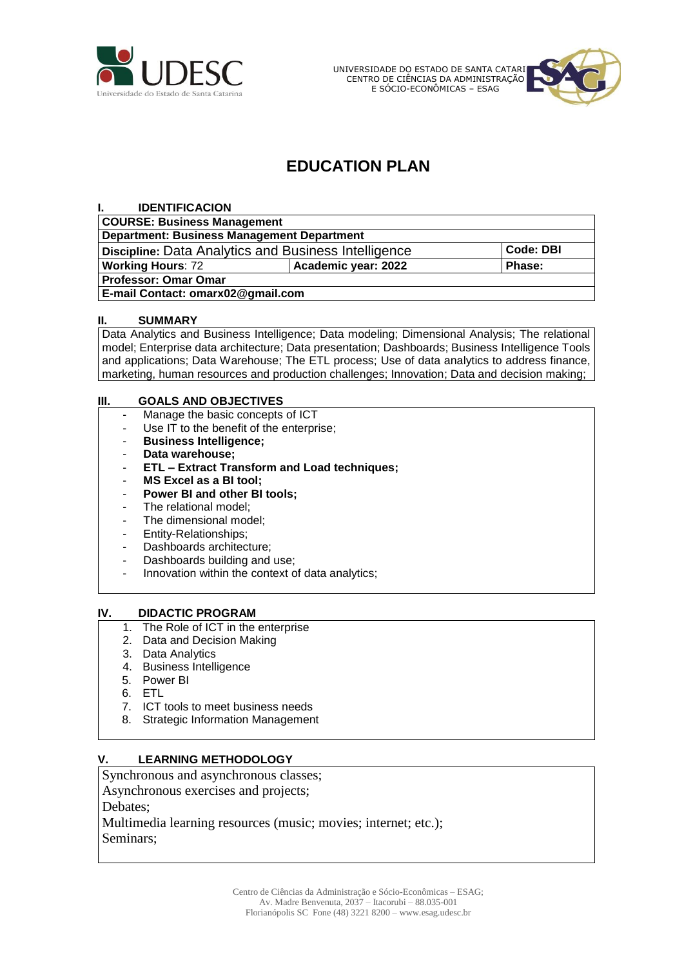

UNIVERSIDADE DO ESTADO DE SANTA CATARINA CENTRO DE CIÊNCIAS DA ADMINISTRAÇÃO E SÓCIO-ECONÔMICAS – ESAG



# **EDUCATION PLAN**

| <b>Code: DBI</b> |
|------------------|
| <b>Phase:</b>    |
|                  |
|                  |
|                  |

#### **II. SUMMARY**

Data Analytics and Business Intelligence; Data modeling; Dimensional Analysis; The relational model; Enterprise data architecture; Data presentation; Dashboards; Business Intelligence Tools and applications; Data Warehouse; The ETL process; Use of data analytics to address finance, marketing, human resources and production challenges; Innovation; Data and decision making;

#### **III. GOALS AND OBJECTIVES**

- Manage the basic concepts of ICT
- Use IT to the benefit of the enterprise;
- **Business Intelligence;**
- **Data warehouse;**
- **ETL – Extract Transform and Load techniques;**
- **MS Excel as a BI tool;**
- **Power BI and other BI tools;**
- The relational model:
- The dimensional model;
- Entity-Relationships;
- Dashboards architecture;
- Dashboards building and use;
- Innovation within the context of data analytics;

#### **IV. DIDACTIC PROGRAM**

- 1. The Role of ICT in the enterprise
- 2. Data and Decision Making
- 3. Data Analytics
- 4. Business Intelligence
- 5. Power BI
- 6. ETL
- 7. ICT tools to meet business needs
- 8. Strategic Information Management

#### **V. LEARNING METHODOLOGY**

Synchronous and asynchronous classes;

Asynchronous exercises and projects;

Debates;

Multimedia learning resources (music; movies; internet; etc.); Seminars;